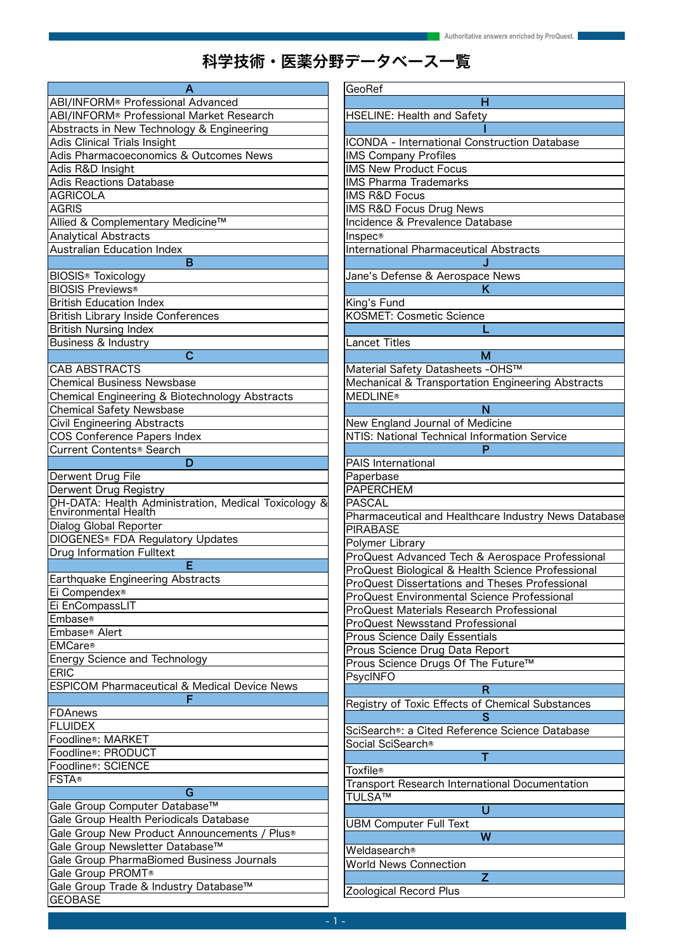# 科学技術 ・ 医薬分野データベース一覧

| Α                                                                            |
|------------------------------------------------------------------------------|
| ABI/INFORM® Professional Advanced                                            |
| ABI/INFORM® Professional Market Research                                     |
| Abstracts in New Technology & Engineering                                    |
| Adis Clinical Trials Insight                                                 |
| Adis Pharmacoeconomics & Outcomes News                                       |
| Adis R&D Insight                                                             |
| <b>Adis Reactions Database</b>                                               |
| <b>AGRICOLA</b>                                                              |
|                                                                              |
| AGRIS                                                                        |
| Allied & Complementary Medicine™                                             |
| <b>Analytical Abstracts</b>                                                  |
| <b>Australian Education Index</b>                                            |
| в                                                                            |
| <b>BIOSIS® Toxicology</b>                                                    |
| <b>BIOSIS Previews®</b>                                                      |
| <b>British Education Index</b>                                               |
| <b>British Library Inside Conferences</b>                                    |
| <b>British Nursing Index</b>                                                 |
| Business & Industry                                                          |
| Ć                                                                            |
| <b>CAB ABSTRACTS</b>                                                         |
| <b>Chemical Business Newsbase</b>                                            |
| Chemical Engineering & Biotechnology Abstracts                               |
| <b>Chemical Safety Newsbase</b>                                              |
| Civil Engineering Abstracts                                                  |
| <b>COS Conference Papers Index</b>                                           |
| Current Contents <sup>®</sup> Search                                         |
|                                                                              |
| D                                                                            |
| Derwent Drug File                                                            |
| Derwent Drug Registry                                                        |
| DH-DATA: Health Administration, Medical Toxicology &<br>Environmental Health |
| Dialog Global Reporter                                                       |
|                                                                              |
| DIOGENES <sup>®</sup> FDA Regulatory Updates                                 |
| <b>Drug Information Fulltext</b>                                             |
| F                                                                            |
| <b>Earthquake Engineering Abstracts</b>                                      |
| Ei Compendex <sup>®</sup>                                                    |
| Ei EnCompassLIT                                                              |
| lEmbase®                                                                     |
| ∣Embase® Alert                                                               |
| <b>EMCare®</b>                                                               |
| <b>Energy Science and Technology</b>                                         |
| <b>ERIC</b>                                                                  |
| ESPICOM Pharmaceutical & Medical Device News                                 |
| F                                                                            |
| FDAnews                                                                      |
| <b>FLUIDEX</b>                                                               |
| Foodline®: MARKET                                                            |
| Foodline®: PRODUCT                                                           |
| Foodline®: SCIENCE                                                           |
| <b>FSTA®</b>                                                                 |
| G                                                                            |
| Gale Group Computer Database™                                                |
|                                                                              |
| Gale Group Health Periodicals Database                                       |
| Gale Group New Product Announcements / Plus®                                 |
| Gale Group Newsletter Database™                                              |
| Gale Group PharmaBiomed Business Journals                                    |
| Gale Group PROMT®                                                            |
| Gale Group Trade & Industry Database™                                        |
| GEOBASE                                                                      |

| GeoRef                                                |
|-------------------------------------------------------|
| н                                                     |
| <b>HSELINE: Health and Safety</b>                     |
|                                                       |
| ICONDA - International Construction Database          |
| <b>IMS Company Profiles</b>                           |
| <b>IMS New Product Focus</b>                          |
| <b>IMS Pharma Trademarks</b>                          |
| <b>IMS R&amp;D Focus</b>                              |
| IMS R&D Focus Drug News                               |
| Incidence & Prevalence Database                       |
| Inspec®                                               |
| <b>International Pharmaceutical Abstracts</b>         |
|                                                       |
|                                                       |
| Jane's Defense & Aerospace News<br>K                  |
| King's Fund                                           |
| <b>KOSMET: Cosmetic Science</b>                       |
|                                                       |
|                                                       |
| <b>Lancet Titles</b>                                  |
| M                                                     |
| Material Safety Datasheets - OHS™                     |
| Mechanical & Transportation Engineering Abstracts     |
| <b>MEDLINE®</b>                                       |
| N                                                     |
| New England Journal of Medicine                       |
| NTIS: National Technical Information Service          |
| P                                                     |
| PAIS International                                    |
| Paperbase                                             |
| <b>PAPERCHEM</b>                                      |
| PASCAL                                                |
| Pharmaceutical and Healthcare Industry News Database  |
| <b>PIRABASE</b>                                       |
| Polymer Library                                       |
| ProQuest Advanced Tech & Aerospace Professional       |
| ProQuest Biological & Health Science Professional     |
| ProQuest Dissertations and Theses Professional        |
| ProQuest Environmental Science Professional           |
| <b>ProQuest Materials Research Professional</b>       |
| ProQuest Newsstand Professional                       |
| <b>Prous Science Daily Essentials</b>                 |
| Prous Science Drug Data Report                        |
| Prous Science Drugs Of The Future™                    |
| PsycINFO                                              |
| R                                                     |
| Registry of Toxic Effects of Chemical Substances      |
| S                                                     |
| SciSearch®: a Cited Reference Science Database        |
| Social SciSearch®                                     |
| т                                                     |
| Toxfile®                                              |
| <b>Transport Research International Documentation</b> |
| TULSA™                                                |
| Ù                                                     |
|                                                       |
| <b>UBM Computer Full Text</b>                         |
| W                                                     |
| Weldasearch®                                          |
| <b>World News Connection</b>                          |
| Z                                                     |
| Zoological Record Plus                                |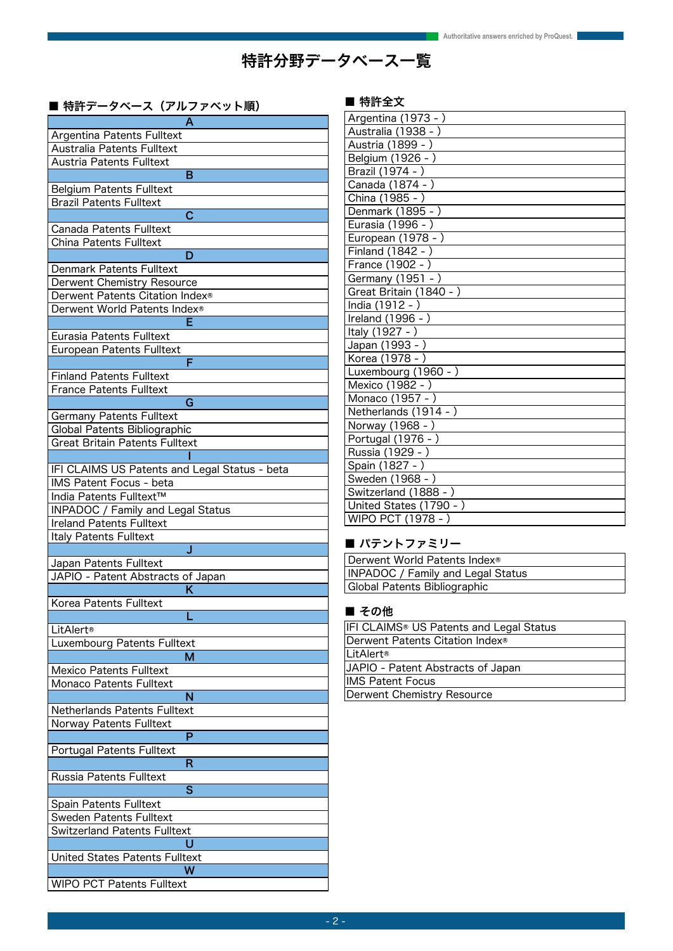## 特許分野データベース一覧

### ■ 特許データベース (アルファベット順)

| Α                                             |
|-----------------------------------------------|
| Argentina Patents Fulltext                    |
| Australia Patents Fulltext                    |
| <b>Austria Patents Fulltext</b>               |
| в                                             |
| <b>Belgium Patents Fulltext</b>               |
| <b>Brazil Patents Fulltext</b>                |
| C                                             |
| <b>Canada Patents Fulltext</b>                |
| <b>China Patents Fulltext</b>                 |
| D                                             |
| <b>Denmark Patents Fulltext</b>               |
| <b>Derwent Chemistry Resource</b>             |
| Derwent Patents Citation Index®               |
| Derwent World Patents Index®                  |
|                                               |
| Eurasia Patents Fulltext                      |
| <b>European Patents Fulltext</b>              |
| F                                             |
| <b>Finland Patents Fulltext</b>               |
| <b>France Patents Fulltext</b>                |
| G                                             |
| <b>Germany Patents Fulltext</b>               |
| Global Patents Bibliographic                  |
| <b>Great Britain Patents Fulltext</b>         |
|                                               |
| IFI CLAIMS US Patents and Legal Status - beta |
| <b>IMS Patent Focus - beta</b>                |
| India Patents Fulltext™                       |
| INPADOC / Family and Legal Status             |
| <b>Ireland Patents Fulltext</b>               |
| Italy Patents Fulltext                        |
| J                                             |
| Japan Patents Fulltext                        |
| JAPIO - Patent Abstracts of Japan             |
| Κ                                             |
| Korea Patents Fulltext                        |
|                                               |
| LitAlert <sup>®</sup>                         |
| Luxembourg Patents Fulltext                   |
| М                                             |
| <b>Mexico Patents Fulltext</b>                |
| <b>Monaco Patents Fulltext</b>                |
| N                                             |
| <b>Netherlands Patents Fulltext</b>           |
| Norway Patents Fulltext                       |
| P                                             |
| <b>Portugal Patents Fulltext</b>              |
| R                                             |
| Russia Patents Fulltext                       |
| S                                             |
| Spain Patents Fulltext                        |
| Sweden Patents Fulltext                       |
| Switzerland Patents Fulltext                  |
| U                                             |
| United States Patents Fulltext                |
| W                                             |
| <b>WIPO PCT Patents Fulltext</b>              |

### ■ 特許全文

| Argentina (1973 - )     |
|-------------------------|
| Australia (1938 - )     |
| Austria (1899 - )       |
| Belgium (1926 - )       |
| Brazil (1974 - )        |
| Canada (1874 - )        |
| China (1985 - )         |
| Denmark (1895 - )       |
| Eurasia (1996 - )       |
| European (1978 - )      |
| Finland (1842 - )       |
| France (1902 - )        |
| Germany (1951 - )       |
| Great Britain (1840 - ) |
| India (1912 - )         |
| Ireland (1996 - )       |
| Italy (1927 - )         |
| Japan (1993 - )         |
| Korea (1978 - )         |
| Luxembourg (1960 - )    |
| Mexico (1982 - )        |
| Monaco (1957 - )        |
| Netherlands (1914 - )   |
| Norway (1968 - )        |
| Portugal (1976 - )      |
| Russia (1929 - )        |
| Spain (1827 - )         |
| Sweden (1968 - )        |
| Switzerland (1888 - )   |
| United States (1790 - ) |
| WIPO PCT (1978 - )      |

### ■ パテントファミリー

| Derwent World Patents Index <sup>®</sup> |
|------------------------------------------|
| INPADOC / Family and Legal Status        |
| Global Patents Bibliographic             |

### ■ その他